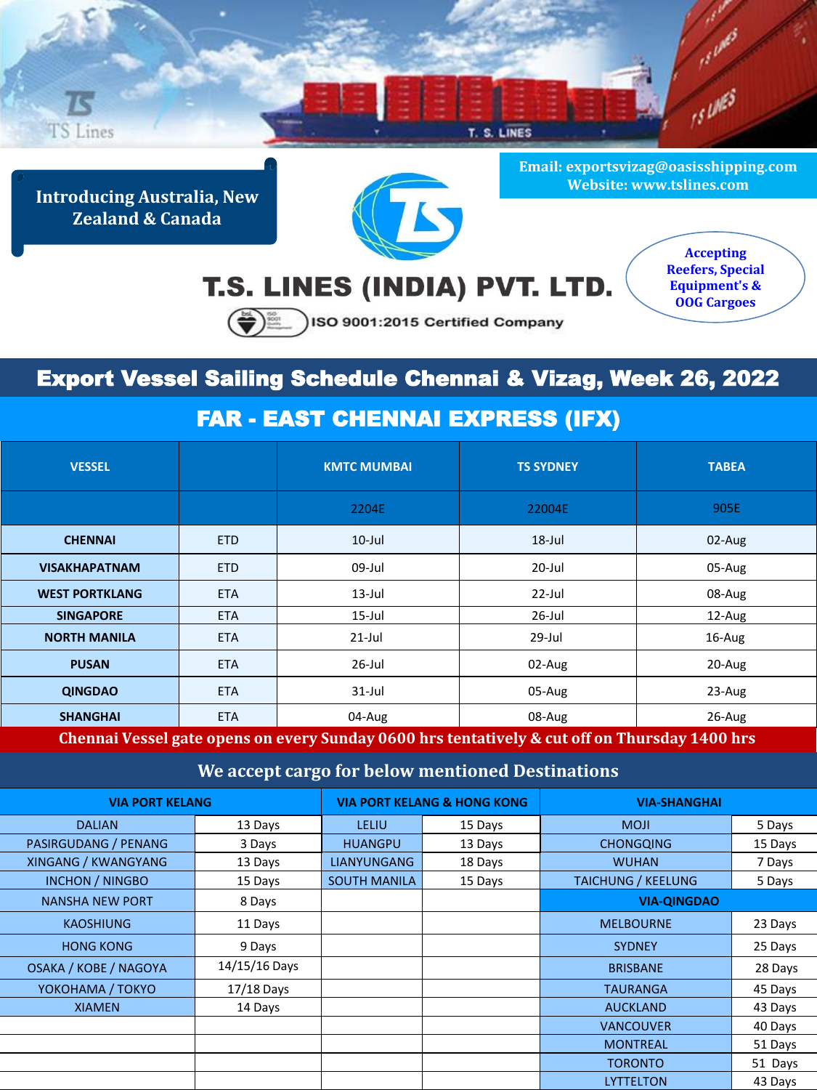

**Introducing Australia, New Zealand & Canada**



**Email: exportsvizag@oasisshipping.com Website: www.tslines.com**

## T.S. LINES (INDIA) PVT. LTD.

**Accepting Reefers, Special Equipment's & OOG Cargoes**

SO 9001:2015 Certified Company

## Export Vessel Sailing Schedule Chennai & Vizag, Week 26, 2022

## FAR - EAST CHENNAI EXPRESS (IFX)

| <b>VESSEL</b>                                                                                 |            | <b>KMTC MUMBAI</b> | <b>TS SYDNEY</b> | <b>TABEA</b> |  |
|-----------------------------------------------------------------------------------------------|------------|--------------------|------------------|--------------|--|
|                                                                                               |            | 2204E              | 22004E           | 905E         |  |
| <b>CHENNAI</b>                                                                                | <b>ETD</b> | $10$ -Jul          | $18$ -Jul        | $02$ -Aug    |  |
| <b>VISAKHAPATNAM</b>                                                                          | <b>ETD</b> | 09-Jul             | 20-Jul           | 05-Aug       |  |
| <b>WEST PORTKLANG</b>                                                                         | <b>ETA</b> | $13$ -Jul          | $22$ -Jul        | 08-Aug       |  |
| <b>SINGAPORE</b>                                                                              | <b>ETA</b> | $15$ -Jul          | $26$ -Jul        | 12-Aug       |  |
| <b>NORTH MANILA</b>                                                                           | <b>ETA</b> | $21$ -Jul          | 29-Jul           | 16-Aug       |  |
| <b>PUSAN</b>                                                                                  | <b>ETA</b> | $26$ -Jul          | 02-Aug           | 20-Aug       |  |
| <b>QINGDAO</b>                                                                                | <b>ETA</b> | $31$ -Jul          | 05-Aug           | $23$ -Aug    |  |
| <b>SHANGHAI</b>                                                                               | <b>ETA</b> | 04-Aug             | 08-Aug           | $26$ -Aug    |  |
| Chennai Vessel gate opens on every Sunday 0600 hrs tentatively & cut off on Thursday 1400 hrs |            |                    |                  |              |  |

**We accept cargo for below mentioned Destinations**

| <b>VIA PORT KELANG</b>       |               | <b>VIA PORT KELANG &amp; HONG KONG</b> |         | <b>VIA-SHANGHAI</b>       |         |
|------------------------------|---------------|----------------------------------------|---------|---------------------------|---------|
| <b>DALIAN</b>                | 13 Days       | LELIU                                  | 15 Days | <b>MOJI</b>               | 5 Days  |
| PASIRGUDANG / PENANG         | 3 Days        | <b>HUANGPU</b>                         | 13 Days | <b>CHONGQING</b>          | 15 Days |
| XINGANG / KWANGYANG          | 13 Days       | <b>LIANYUNGANG</b>                     | 18 Days | <b>WUHAN</b>              | 7 Days  |
| <b>INCHON / NINGBO</b>       | 15 Days       | <b>SOUTH MANILA</b>                    | 15 Days | <b>TAICHUNG / KEELUNG</b> | 5 Days  |
| <b>NANSHA NEW PORT</b>       | 8 Days        |                                        |         | <b>VIA-QINGDAO</b>        |         |
| <b>KAOSHIUNG</b>             | 11 Days       |                                        |         | <b>MELBOURNE</b>          | 23 Days |
| <b>HONG KONG</b>             | 9 Days        |                                        |         | <b>SYDNEY</b>             | 25 Days |
| <b>OSAKA / KOBE / NAGOYA</b> | 14/15/16 Days |                                        |         | <b>BRISBANE</b>           | 28 Days |
| YOKOHAMA / TOKYO             | $17/18$ Days  |                                        |         | <b>TAURANGA</b>           | 45 Days |
| <b>XIAMEN</b>                | 14 Days       |                                        |         | <b>AUCKLAND</b>           | 43 Days |
|                              |               |                                        |         | <b>VANCOUVER</b>          | 40 Days |
|                              |               |                                        |         | <b>MONTREAL</b>           | 51 Days |
|                              |               |                                        |         | <b>TORONTO</b>            | 51 Days |
|                              |               |                                        |         | <b>LYTTELTON</b>          | 43 Days |